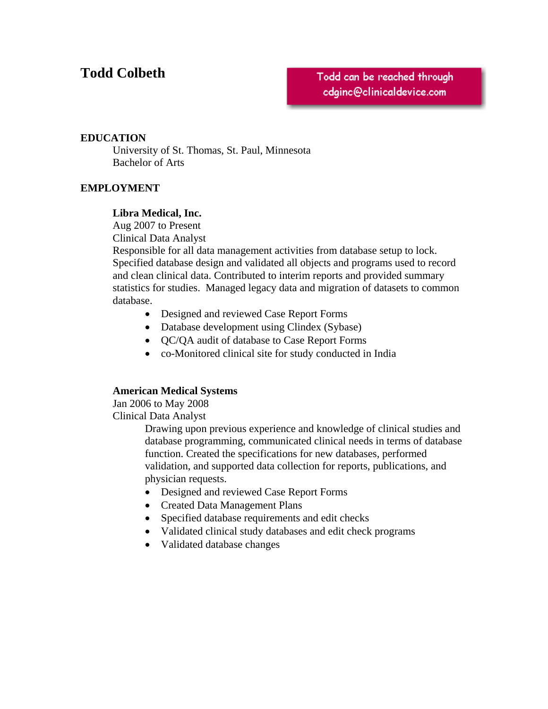# **Todd Colbeth**

Todd can be reached through cdginc@clinicaldevice.com

# **EDUCATION**

 University of St. Thomas, St. Paul, Minnesota Bachelor of Arts

# **EMPLOYMENT**

## **Libra Medical, Inc.**

Aug 2007 to Present

Clinical Data Analyst

Responsible for all data management activities from database setup to lock. Specified database design and validated all objects and programs used to record and clean clinical data. Contributed to interim reports and provided summary statistics for studies. Managed legacy data and migration of datasets to common database.

- Designed and reviewed Case Report Forms
- Database development using Clindex (Sybase)
- QC/QA audit of database to Case Report Forms
- co-Monitored clinical site for study conducted in India

# **American Medical Systems**

 Jan 2006 to May 2008 Clinical Data Analyst

> Drawing upon previous experience and knowledge of clinical studies and database programming, communicated clinical needs in terms of database function. Created the specifications for new databases, performed validation, and supported data collection for reports, publications, and physician requests.

- Designed and reviewed Case Report Forms
- Created Data Management Plans
- Specified database requirements and edit checks
- Validated clinical study databases and edit check programs
- Validated database changes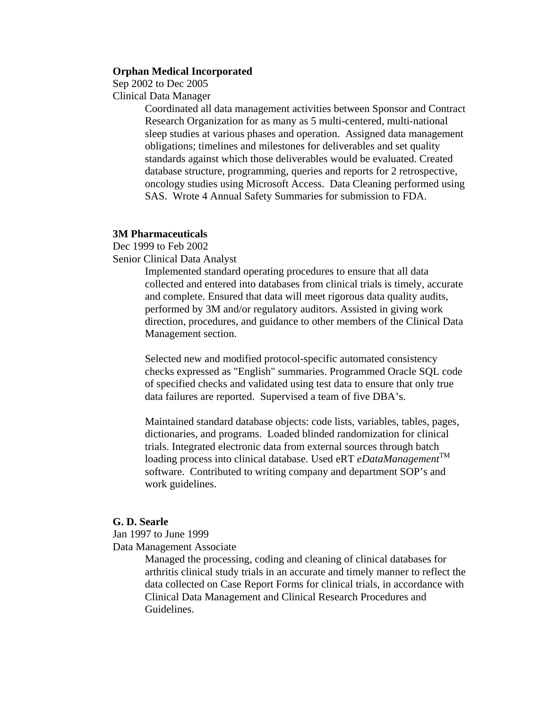#### **Orphan Medical Incorporated**

Sep 2002 to Dec 2005

Clinical Data Manager

Coordinated all data management activities between Sponsor and Contract Research Organization for as many as 5 multi-centered, multi-national sleep studies at various phases and operation. Assigned data management obligations; timelines and milestones for deliverables and set quality standards against which those deliverables would be evaluated. Created database structure, programming, queries and reports for 2 retrospective, oncology studies using Microsoft Access. Data Cleaning performed using SAS. Wrote 4 Annual Safety Summaries for submission to FDA.

# **3M Pharmaceuticals**

Dec 1999 to Feb 2002

Senior Clinical Data Analyst

Implemented standard operating procedures to ensure that all data collected and entered into databases from clinical trials is timely, accurate and complete. Ensured that data will meet rigorous data quality audits, performed by 3M and/or regulatory auditors. Assisted in giving work direction, procedures, and guidance to other members of the Clinical Data Management section.

Selected new and modified protocol-specific automated consistency checks expressed as "English" summaries. Programmed Oracle SQL code of specified checks and validated using test data to ensure that only true data failures are reported. Supervised a team of five DBA's.

Maintained standard database objects: code lists, variables, tables, pages, dictionaries, and programs. Loaded blinded randomization for clinical trials. Integrated electronic data from external sources through batch loading process into clinical database. Used eRT *eDataManagement*<sup>TM</sup> software. Contributed to writing company and department SOP's and work guidelines.

## **G. D. Searle**

Jan 1997 to June 1999

Data Management Associate

Managed the processing, coding and cleaning of clinical databases for arthritis clinical study trials in an accurate and timely manner to reflect the data collected on Case Report Forms for clinical trials, in accordance with Clinical Data Management and Clinical Research Procedures and Guidelines.